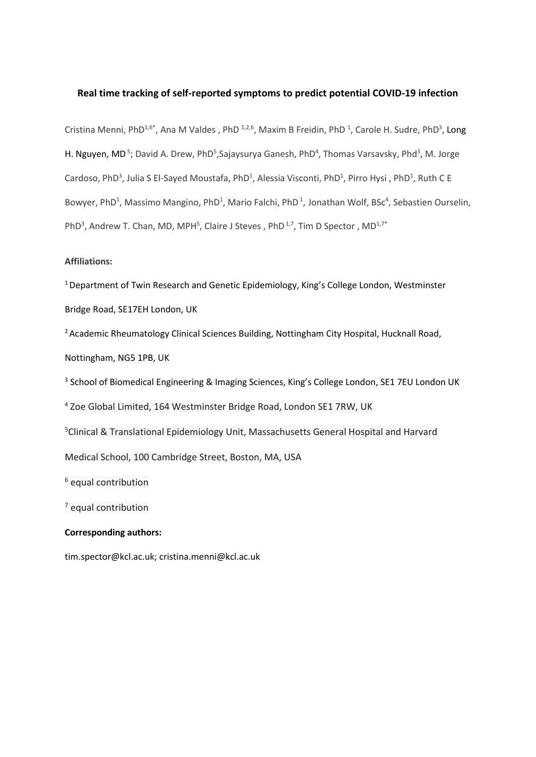# **Real time tracking of self-reported symptoms to predict potential COVID-19 infection**

Cristina Menni, PhD<sup>1,6\*</sup>, Ana M Valdes, PhD <sup>1,2,6</sup>, Maxim B Freidin, PhD <sup>1</sup>, Carole H. Sudre, PhD<sup>3</sup>, Long H. Nguyen, MD<sup>5</sup>; David A. Drew, PhD<sup>5</sup>, Sajaysurya Ganesh, PhD<sup>4</sup>, Thomas Varsavsky, Phd<sup>3</sup>, M. Jorge Cardoso, PhD<sup>3</sup>, Julia S El-Sayed Moustafa, PhD<sup>1</sup>, Alessia Visconti, PhD<sup>1</sup>, Pirro Hysi, PhD<sup>1</sup>, Ruth C E Bowyer, PhD<sup>1</sup>, Massimo Mangino, PhD<sup>1</sup>, Mario Falchi, PhD<sup>1</sup>, Jonathan Wolf, BSc<sup>4</sup>, Sebastien Ourselin, PhD<sup>3</sup>, Andrew T. Chan, MD, MPH<sup>5</sup>, Claire J Steves, PhD<sup>1,7</sup>, Tim D Spector, MD<sup>1,7\*</sup>

# **Affiliations:**

<sup>1</sup> Department of Twin Research and Genetic Epidemiology, King's College London, Westminster Bridge Road, SE17EH London, UK

<sup>2</sup> Academic Rheumatology Clinical Sciences Building, Nottingham City Hospital, Hucknall Road, Nottingham, NG5 1PB, UK

<sup>3</sup> School of Biomedical Engineering & Imaging Sciences, King's College London, SE1 7EU London UK

<sup>4</sup> Zoe Global Limited, 164 Westminster Bridge Road, London SE1 7RW, UK

<sup>5</sup>Clinical & Translational Epidemiology Unit, Massachusetts General Hospital and Harvard

Medical School, 100 Cambridge Street, Boston, MA, USA

<sup>6</sup> equal contribution

<sup>7</sup> equal contribution

# **Corresponding authors:**

[tim.spector@kcl.ac.uk;](mailto:tim.spector@kcl.ac.uk) cristina.menni@kcl.ac.uk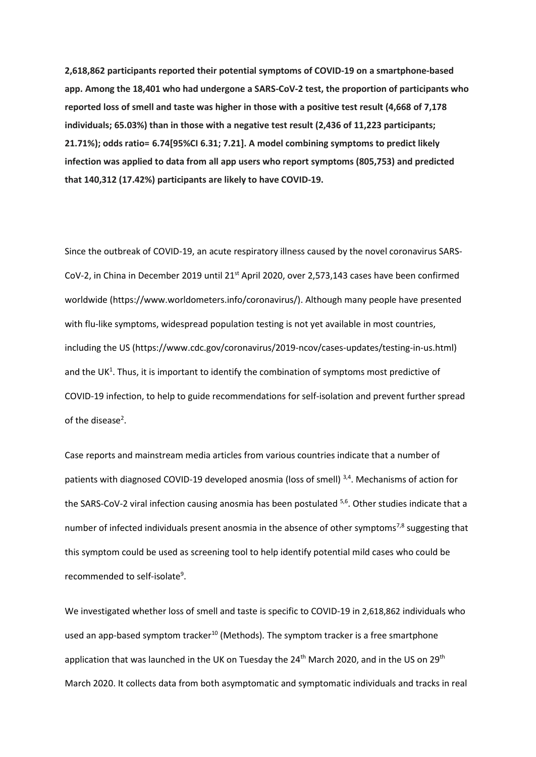**2,618,862 participants reported their potential symptoms of COVID-19 on a smartphone-based app. Among the 18,401 who had undergone a SARS-CoV-2 test, the proportion of participants who reported loss of smell and taste was higher in those with a positive test result (4,668 of 7,178 individuals; 65.03%) than in those with a negative test result (2,436 of 11,223 participants; 21.71%); odds ratio= 6.74[95%CI 6.31; 7.21]. A model combining symptoms to predict likely infection was applied to data from all app users who report symptoms (805,753) and predicted that 140,312 (17.42%) participants are likely to have COVID-19.**

Since the outbreak of COVID-19, an acute respiratory illness caused by the novel coronavirus SARS-CoV-2, in China in December 2019 until 21<sup>st</sup> April 2020, over 2,573,143 cases have been confirmed worldwide (https://www.worldometers.info/coronavirus/). Although many people have presented with flu-like symptoms, widespread population testing is not yet available in most countries, including the US (https://www.cdc.gov/coronavirus/2019-ncov/cases-updates/testing-in-us.html) and the UK<sup>1</sup>. Thus, it is important to identify the combination of symptoms most predictive of COVID-19 infection, to help to guide recommendations for self-isolation and prevent further spread of the disease<sup>2</sup>.

Case reports and mainstream media articles from various countries indicate that a number of patients with diagnosed COVID-19 developed anosmia (loss of smell)<sup>3,4</sup>. Mechanisms of action for the SARS-CoV-2 viral infection causing anosmia has been postulated <sup>5,6</sup>. Other studies indicate that a number of infected individuals present anosmia in the absence of other symptoms<sup>7,8</sup> suggesting that this symptom could be used as screening tool to help identify potential mild cases who could be recommended to self-isolate<sup>9</sup>.

We investigated whether loss of smell and taste is specific to COVID-19 in 2,618,862 individuals who used an app-based symptom tracker<sup>10</sup> (Methods). The symptom tracker is a free smartphone application that was launched in the UK on Tuesday the 24<sup>th</sup> March 2020, and in the US on 29<sup>th</sup> March 2020. It collects data from both asymptomatic and symptomatic individuals and tracks in real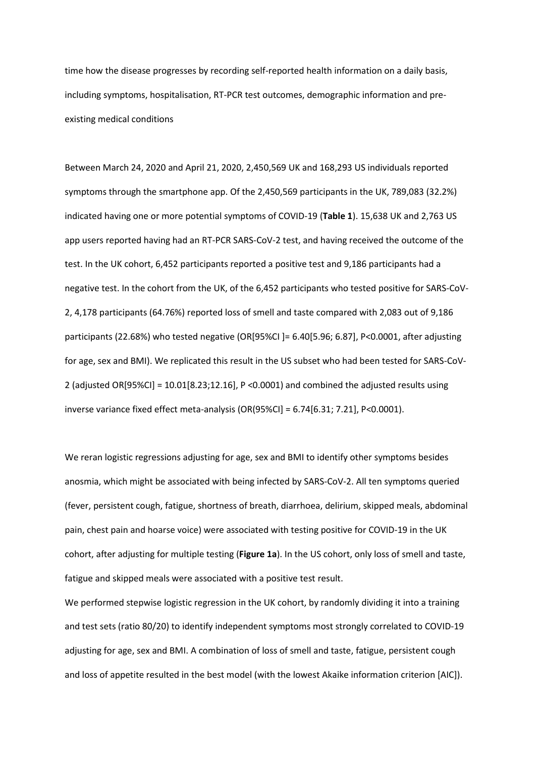time how the disease progresses by recording self-reported health information on a daily basis, including symptoms, hospitalisation, RT-PCR test outcomes, demographic information and preexisting medical conditions

Between March 24, 2020 and April 21, 2020, 2,450,569 UK and 168,293 US individuals reported symptoms through the smartphone app. Of the 2,450,569 participants in the UK, 789,083 (32.2%) indicated having one or more potential symptoms of COVID-19 (**Table 1**). 15,638 UK and 2,763 US app users reported having had an RT-PCR SARS-CoV-2 test, and having received the outcome of the test. In the UK cohort, 6,452 participants reported a positive test and 9,186 participants had a negative test. In the cohort from the UK, of the 6,452 participants who tested positive for SARS-CoV-2, 4,178 participants (64.76%) reported loss of smell and taste compared with 2,083 out of 9,186 participants (22.68%) who tested negative (OR[95%CI ]= 6.40[5.96; 6.87], P<0.0001, after adjusting for age, sex and BMI). We replicated this result in the US subset who had been tested for SARS-CoV-2 (adjusted OR[95%CI] =  $10.01[8.23;12.16]$ , P <0.0001) and combined the adjusted results using inverse variance fixed effect meta-analysis (OR(95%CI] = 6.74[6.31; 7.21], P<0.0001).

We reran logistic regressions adjusting for age, sex and BMI to identify other symptoms besides anosmia, which might be associated with being infected by SARS-CoV-2. All ten symptoms queried (fever, persistent cough, fatigue, shortness of breath, diarrhoea, delirium, skipped meals, abdominal pain, chest pain and hoarse voice) were associated with testing positive for COVID-19 in the UK cohort, after adjusting for multiple testing (**Figure 1a**). In the US cohort, only loss of smell and taste, fatigue and skipped meals were associated with a positive test result.

We performed stepwise logistic regression in the UK cohort, by randomly dividing it into a training and test sets (ratio 80/20) to identify independent symptoms most strongly correlated to COVID-19 adjusting for age, sex and BMI. A combination of loss of smell and taste, fatigue, persistent cough and loss of appetite resulted in the best model (with the lowest Akaike information criterion [AIC]).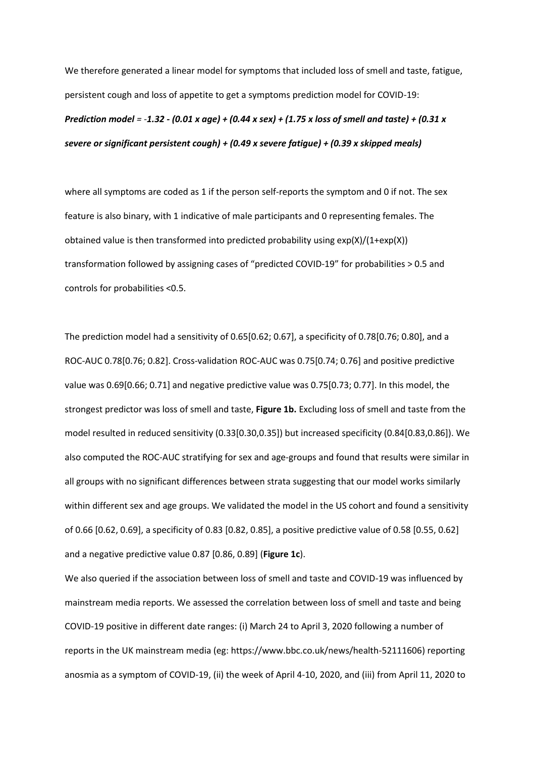We therefore generated a linear model for symptoms that included loss of smell and taste, fatigue, persistent cough and loss of appetite to get a symptoms prediction model for COVID-19:

*Prediction model = -1.32 - (0.01 x age) + (0.44 x sex) + (1.75 x loss of smell and taste) + (0.31 x severe or significant persistent cough) + (0.49 x severe fatigue) + (0.39 x skipped meals)* 

where all symptoms are coded as 1 if the person self-reports the symptom and 0 if not. The sex feature is also binary, with 1 indicative of male participants and 0 representing females. The obtained value is then transformed into predicted probability using  $exp(X)/(1+exp(X))$ transformation followed by assigning cases of "predicted COVID-19" for probabilities > 0.5 and controls for probabilities <0.5.

The prediction model had a sensitivity of 0.65[0.62; 0.67], a specificity of 0.78[0.76; 0.80], and a ROC-AUC 0.78[0.76; 0.82]. Cross-validation ROC-AUC was 0.75[0.74; 0.76] and positive predictive value was 0.69[0.66; 0.71] and negative predictive value was 0.75[0.73; 0.77]. In this model, the strongest predictor was loss of smell and taste, **Figure 1b.** Excluding loss of smell and taste from the model resulted in reduced sensitivity (0.33[0.30,0.35]) but increased specificity (0.84[0.83,0.86]). We also computed the ROC-AUC stratifying for sex and age-groups and found that results were similar in all groups with no significant differences between strata suggesting that our model works similarly within different sex and age groups. We validated the model in the US cohort and found a sensitivity of 0.66 [0.62, 0.69], a specificity of 0.83 [0.82, 0.85], a positive predictive value of 0.58 [0.55, 0.62] and a negative predictive value 0.87 [0.86, 0.89] (**Figure 1c**).

We also queried if the association between loss of smell and taste and COVID-19 was influenced by mainstream media reports. We assessed the correlation between loss of smell and taste and being COVID-19 positive in different date ranges: (i) March 24 to April 3, 2020 following a number of reports in the UK mainstream media (eg[: https://www.bbc.co.uk/news/health-52111606\)](https://www.bbc.co.uk/news/health-52111606) reporting anosmia as a symptom of COVID-19, (ii) the week of April 4-10, 2020, and (iii) from April 11, 2020 to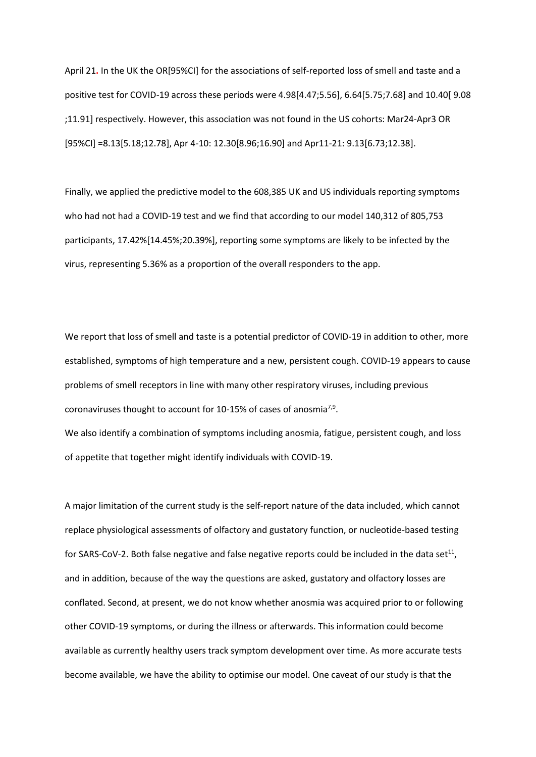April 21**.** In the UK the OR[95%CI] for the associations of self-reported loss of smell and taste and a positive test for COVID-19 across these periods were 4.98[4.47;5.56], 6.64[5.75;7.68] and 10.40[ 9.08 ;11.91] respectively. However, this association was not found in the US cohorts: Mar24-Apr3 OR [95%CI] =8.13[5.18;12.78], Apr 4-10: 12.30[8.96;16.90] and Apr11-21: 9.13[6.73;12.38].

Finally, we applied the predictive model to the 608,385 UK and US individuals reporting symptoms who had not had a COVID-19 test and we find that according to our model 140,312 of 805,753 participants, 17.42%[14.45%;20.39%], reporting some symptoms are likely to be infected by the virus, representing 5.36% as a proportion of the overall responders to the app.

We report that loss of smell and taste is a potential predictor of COVID-19 in addition to other, more established, symptoms of high temperature and a new, persistent cough. COVID-19 appears to cause problems of smell receptors in line with many other respiratory viruses, including previous coronaviruses thought to account for 10-15% of cases of anosmia<sup>7,9</sup>.

We also identify a combination of symptoms including anosmia, fatigue, persistent cough, and loss of appetite that together might identify individuals with COVID-19.

A major limitation of the current study is the self-report nature of the data included, which cannot replace physiological assessments of olfactory and gustatory function, or nucleotide-based testing for SARS-CoV-2. Both false negative and false negative reports could be included in the data set<sup>11</sup>, and in addition, because of the way the questions are asked, gustatory and olfactory losses are conflated. Second, at present, we do not know whether anosmia was acquired prior to or following other COVID-19 symptoms, or during the illness or afterwards. This information could become available as currently healthy users track symptom development over time. As more accurate tests become available, we have the ability to optimise our model. One caveat of our study is that the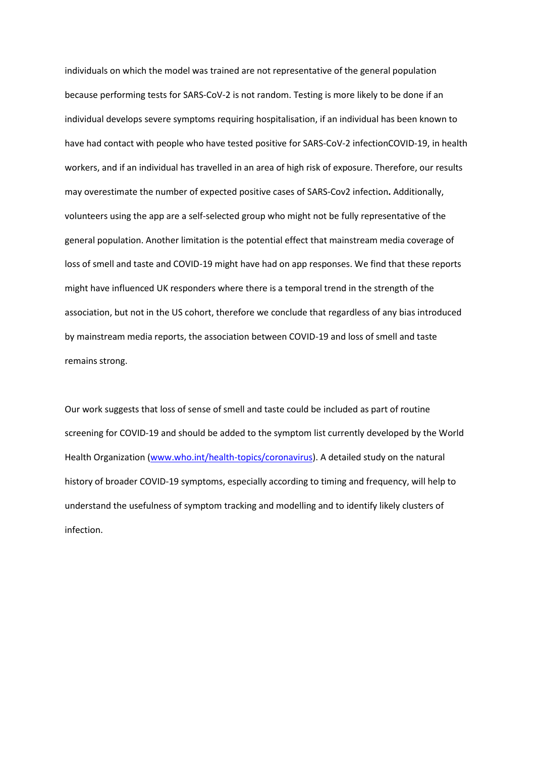individuals on which the model was trained are not representative of the general population because performing tests for SARS-CoV-2 is not random. Testing is more likely to be done if an individual develops severe symptoms requiring hospitalisation, if an individual has been known to have had contact with people who have tested positive for SARS-CoV-2 infectionCOVID-19, in health workers, and if an individual has travelled in an area of high risk of exposure. Therefore, our results may overestimate the number of expected positive cases of SARS-Cov2 infection**.** Additionally, volunteers using the app are a self-selected group who might not be fully representative of the general population. Another limitation is the potential effect that mainstream media coverage of loss of smell and taste and COVID-19 might have had on app responses. We find that these reports might have influenced UK responders where there is a temporal trend in the strength of the association, but not in the US cohort, therefore we conclude that regardless of any bias introduced by mainstream media reports, the association between COVID-19 and loss of smell and taste remains strong.

Our work suggests that loss of sense of smell and taste could be included as part of routine screening for COVID-19 and should be added to the symptom list currently developed by the World Health Organization [\(www.who.int/health-topics/coronavirus\)](https://emckclac-my.sharepoint.com/personal/k1184781_kcl_ac_uk/Documents/COV19/anesmia%20draft/nature%20medicine/submitted/rebuttal/submitted/rebuttal2/proofs/www.who.int/health-topics/coronavirus). A detailed study on the natural history of broader COVID-19 symptoms, especially according to timing and frequency, will help to understand the usefulness of symptom tracking and modelling and to identify likely clusters of infection.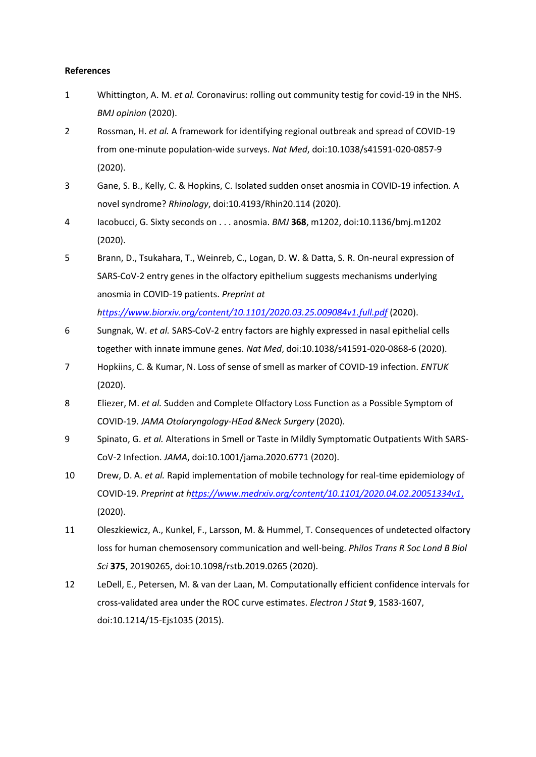## **References**

- 1 Whittington, A. M. *et al.* Coronavirus: rolling out community testig for covid-19 in the NHS. *BMJ opinion* (2020).
- 2 Rossman, H. *et al.* A framework for identifying regional outbreak and spread of COVID-19 from one-minute population-wide surveys. *Nat Med*, doi:10.1038/s41591-020-0857-9 (2020).
- 3 Gane, S. B., Kelly, C. & Hopkins, C. Isolated sudden onset anosmia in COVID-19 infection. A novel syndrome? *Rhinology*, doi:10.4193/Rhin20.114 (2020).
- 4 Iacobucci, G. Sixty seconds on . . . anosmia. *BMJ* **368**, m1202, doi:10.1136/bmj.m1202 (2020).
- 5 Brann, D., Tsukahara, T., Weinreb, C., Logan, D. W. & Datta, S. R. On-neural expression of SARS-CoV-2 entry genes in the olfactory epithelium suggests mechanisms underlying anosmia in COVID-19 patients. *Preprint at*

*[https://www.biorxiv.org/content/10.1101/2020.03.25.009084v1.full.pdf](ttps://www.biorxiv.org/content/10.1101/2020.03.25.009084v1.full.pdf)* (2020).

- 6 Sungnak, W. *et al.* SARS-CoV-2 entry factors are highly expressed in nasal epithelial cells together with innate immune genes. *Nat Med*, doi:10.1038/s41591-020-0868-6 (2020).
- 7 Hopkiins, C. & Kumar, N. Loss of sense of smell as marker of COVID-19 infection. *ENTUK* (2020).
- 8 Eliezer, M. *et al.* Sudden and Complete Olfactory Loss Function as a Possible Symptom of COVID-19. *JAMA Otolaryngology-HEad &Neck Surgery* (2020).
- 9 Spinato, G. *et al.* Alterations in Smell or Taste in Mildly Symptomatic Outpatients With SARS-CoV-2 Infection. *JAMA*, doi:10.1001/jama.2020.6771 (2020).
- 10 Drew, D. A. *et al.* Rapid implementation of mobile technology for real-time epidemiology of COVID-19. *Preprint at [https://www.medrxiv.org/content/10.1101/2020.04.02.20051334v1](ttps://www.medrxiv.org/content/10.1101/2020.04.02.20051334v1,)*, (2020).
- 11 Oleszkiewicz, A., Kunkel, F., Larsson, M. & Hummel, T. Consequences of undetected olfactory loss for human chemosensory communication and well-being. *Philos Trans R Soc Lond B Biol Sci* **375**, 20190265, doi:10.1098/rstb.2019.0265 (2020).
- 12 LeDell, E., Petersen, M. & van der Laan, M. Computationally efficient confidence intervals for cross-validated area under the ROC curve estimates. *Electron J Stat* **9**, 1583-1607, doi:10.1214/15-Ejs1035 (2015).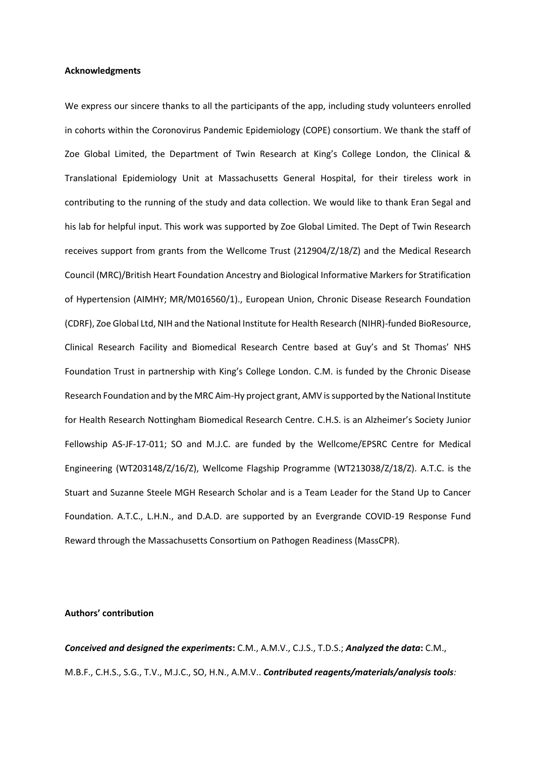## **Acknowledgments**

We express our sincere thanks to all the participants of the app, including study volunteers enrolled in cohorts within the Coronovirus Pandemic Epidemiology (COPE) consortium. We thank the staff of Zoe Global Limited, the Department of Twin Research at King's College London, the Clinical & Translational Epidemiology Unit at Massachusetts General Hospital, for their tireless work in contributing to the running of the study and data collection. We would like to thank Eran Segal and his lab for helpful input. This work was supported by Zoe Global Limited. The Dept of Twin Research receives support from grants from the Wellcome Trust (212904/Z/18/Z) and the Medical Research Council (MRC)/British Heart Foundation Ancestry and Biological Informative Markers for Stratification of Hypertension (AIMHY; MR/M016560/1)., European Union, Chronic Disease Research Foundation (CDRF), Zoe Global Ltd, NIH and the National Institute for Health Research (NIHR)-funded BioResource, Clinical Research Facility and Biomedical Research Centre based at Guy's and St Thomas' NHS Foundation Trust in partnership with King's College London. C.M. is funded by the Chronic Disease Research Foundation and by the MRC Aim-Hy project grant, AMV is supported by the National Institute for Health Research Nottingham Biomedical Research Centre. C.H.S. is an Alzheimer's Society Junior Fellowship AS-JF-17-011; SO and M.J.C. are funded by the Wellcome/EPSRC Centre for Medical Engineering (WT203148/Z/16/Z), Wellcome Flagship Programme (WT213038/Z/18/Z). A.T.C. is the Stuart and Suzanne Steele MGH Research Scholar and is a Team Leader for the Stand Up to Cancer Foundation. A.T.C., L.H.N., and D.A.D. are supported by an Evergrande COVID-19 Response Fund Reward through the Massachusetts Consortium on Pathogen Readiness (MassCPR).

## **Authors' contribution**

*Conceived and designed the experiments***:** C.M., A.M.V., C.J.S., T.D.S.; *Analyzed the data***:** C.M., M.B.F., C.H.S., S.G., T.V., M.J.C., SO, H.N., A.M.V.. *Contributed reagents/materials/analysis tools:*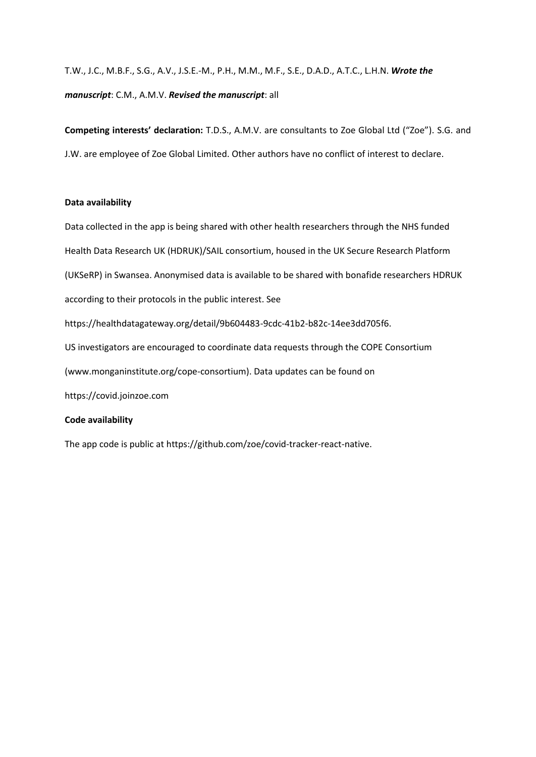# T.W., J.C., M.B.F., S.G., A.V., J.S.E.-M., P.H., M.M., M.F., S.E., D.A.D., A.T.C., L.H.N. *Wrote the manuscript*: C.M., A.M.V. *Revised the manuscript*: all

**Competing interests' declaration:** T.D.S., A.M.V. are consultants to Zoe Global Ltd ("Zoe"). S.G. and J.W. are employee of Zoe Global Limited. Other authors have no conflict of interest to declare.

# **Data availability**

Data collected in the app is being shared with other health researchers through the NHS funded Health Data Research UK (HDRUK)/SAIL consortium, housed in the UK Secure Research Platform (UKSeRP) in Swansea. Anonymised data is available to be shared with bonafide researchers HDRUK according to their protocols in the public interest. See https://healthdatagateway.org/detail/9b604483-9cdc-41b2-b82c-14ee3dd705f6. US investigators are encouraged to coordinate data requests through the COPE Consortium (www.monganinstitute.org/cope-consortium). Data updates can be found on https://covid.joinzoe.com **Code availability**

The app code is public at https://github.com/zoe/covid-tracker-react-native.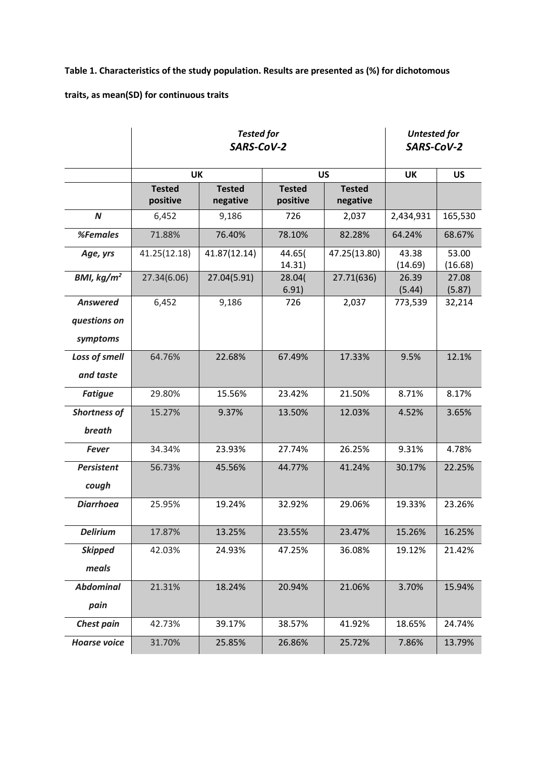**Table 1. Characteristics of the study population. Results are presented as (%) for dichotomous** 

**traits, as mean(SD) for continuous traits**

|                     | <b>Tested for</b><br>SARS-CoV-2 |                           |                           |                           | <b>Untested for</b><br>SARS-CoV-2 |                  |
|---------------------|---------------------------------|---------------------------|---------------------------|---------------------------|-----------------------------------|------------------|
|                     | UK                              |                           | <b>US</b>                 |                           | UK                                | <b>US</b>        |
|                     | <b>Tested</b><br>positive       | <b>Tested</b><br>negative | <b>Tested</b><br>positive | <b>Tested</b><br>negative |                                   |                  |
| $\boldsymbol{N}$    | 6,452                           | 9,186                     | 726                       | 2,037                     | 2,434,931                         | 165,530          |
| %Females            | 71.88%                          | 76.40%                    | 78.10%                    | 82.28%                    | 64.24%                            | 68.67%           |
| Age, yrs            | 41.25(12.18)                    | 41.87(12.14)              | 44.65(<br>14.31)          | 47.25(13.80)              | 43.38<br>(14.69)                  | 53.00<br>(16.68) |
| BMI, $kg/m2$        | 27.34(6.06)                     | 27.04(5.91)               | 28.04(<br>6.91)           | 27.71(636)                | 26.39<br>(5.44)                   | 27.08<br>(5.87)  |
| <b>Answered</b>     | 6,452                           | 9,186                     | 726                       | 2,037                     | 773,539                           | 32,214           |
| questions on        |                                 |                           |                           |                           |                                   |                  |
| symptoms            |                                 |                           |                           |                           |                                   |                  |
| Loss of smell       | 64.76%                          | 22.68%                    | 67.49%                    | 17.33%                    | 9.5%                              | 12.1%            |
| and taste           |                                 |                           |                           |                           |                                   |                  |
| <b>Fatigue</b>      | 29.80%                          | 15.56%                    | 23.42%                    | 21.50%                    | 8.71%                             | 8.17%            |
| <b>Shortness of</b> | 15.27%                          | 9.37%                     | 13.50%                    | 12.03%                    | 4.52%                             | 3.65%            |
| breath              |                                 |                           |                           |                           |                                   |                  |
| <b>Fever</b>        | 34.34%                          | 23.93%                    | 27.74%                    | 26.25%                    | 9.31%                             | 4.78%            |
| <b>Persistent</b>   | 56.73%                          | 45.56%                    | 44.77%                    | 41.24%                    | 30.17%                            | 22.25%           |
| cough               |                                 |                           |                           |                           |                                   |                  |
| <b>Diarrhoea</b>    | 25.95%                          | 19.24%                    | 32.92%                    | 29.06%                    | 19.33%                            | 23.26%           |
| <b>Delirium</b>     | 17.87%                          | 13.25%                    | 23.55%                    | 23.47%                    | 15.26%                            | 16.25%           |
| <b>Skipped</b>      | 42.03%                          | 24.93%                    | 47.25%                    | 36.08%                    | 19.12%                            | 21.42%           |
| meals               |                                 |                           |                           |                           |                                   |                  |
| <b>Abdominal</b>    | 21.31%                          | 18.24%                    | 20.94%                    | 21.06%                    | 3.70%                             | 15.94%           |
| pain                |                                 |                           |                           |                           |                                   |                  |
| <b>Chest pain</b>   | 42.73%                          | 39.17%                    | 38.57%                    | 41.92%                    | 18.65%                            | 24.74%           |
| <b>Hoarse voice</b> | 31.70%                          | 25.85%                    | 26.86%                    | 25.72%                    | 7.86%                             | 13.79%           |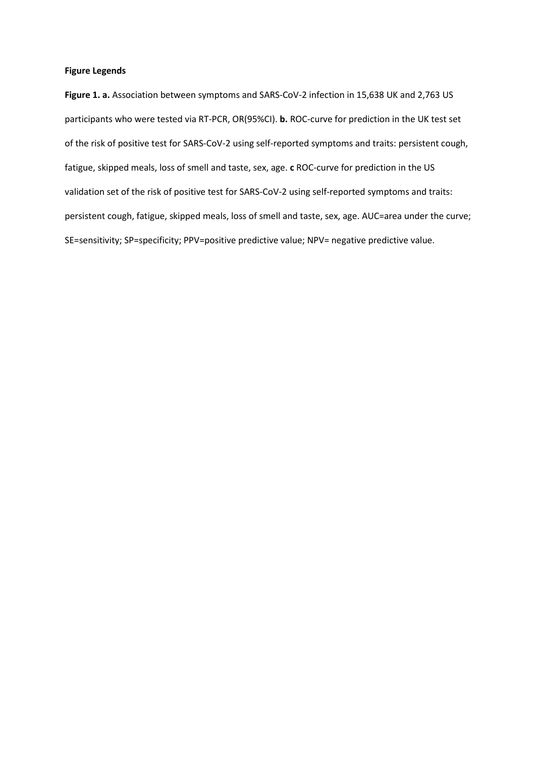## **Figure Legends**

**Figure 1. a.** Association between symptoms and SARS-CoV-2 infection in 15,638 UK and 2,763 US participants who were tested via RT-PCR, OR(95%CI). **b.** ROC-curve for prediction in the UK test set of the risk of positive test for SARS-CoV-2 using self-reported symptoms and traits: persistent cough, fatigue, skipped meals, loss of smell and taste, sex, age. **c** ROC-curve for prediction in the US validation set of the risk of positive test for SARS-CoV-2 using self-reported symptoms and traits: persistent cough, fatigue, skipped meals, loss of smell and taste, sex, age. AUC=area under the curve; SE=sensitivity; SP=specificity; PPV=positive predictive value; NPV= negative predictive value.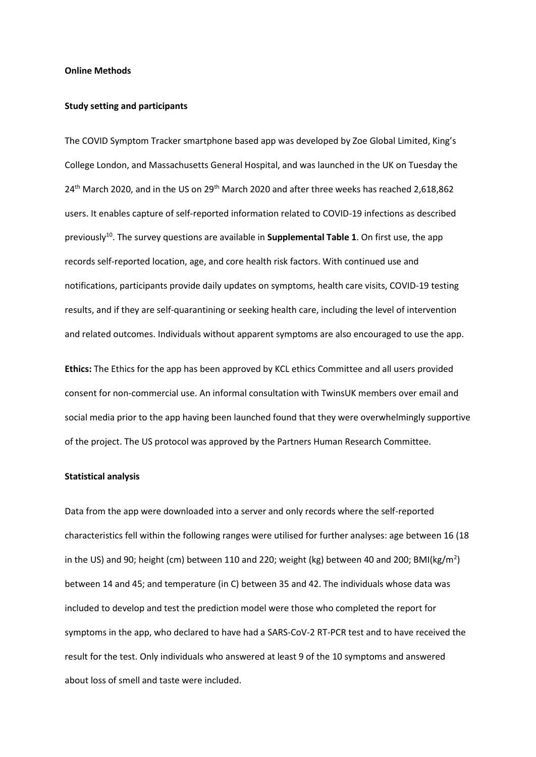## **Online Methods**

## **Study setting and participants**

The COVID Symptom Tracker smartphone based app was developed by Zoe Global Limited, King's College London, and Massachusetts General Hospital, and was launched in the UK on Tuesday the 24<sup>th</sup> March 2020, and in the US on 29<sup>th</sup> March 2020 and after three weeks has reached 2,618,862 users. It enables capture of self-reported information related to COVID-19 infections as described previously<sup>10</sup>. The survey questions are available in **Supplemental Table 1**. On first use, the app records self-reported location, age, and core health risk factors. With continued use and notifications, participants provide daily updates on symptoms, health care visits, COVID-19 testing results, and if they are self-quarantining or seeking health care, including the level of intervention and related outcomes. Individuals without apparent symptoms are also encouraged to use the app.

**Ethics:** The Ethics for the app has been approved by KCL ethics Committee and all users provided consent for non-commercial use. An informal consultation with TwinsUK members over email and social media prior to the app having been launched found that they were overwhelmingly supportive of the project. The US protocol was approved by the Partners Human Research Committee.

## **Statistical analysis**

Data from the app were downloaded into a server and only records where the self-reported characteristics fell within the following ranges were utilised for further analyses: age between 16 (18 in the US) and 90; height (cm) between 110 and 220; weight (kg) between 40 and 200; BMI(kg/m<sup>2</sup>) between 14 and 45; and temperature (in C) between 35 and 42. The individuals whose data was included to develop and test the prediction model were those who completed the report for symptoms in the app, who declared to have had a SARS-CoV-2 RT-PCR test and to have received the result for the test. Only individuals who answered at least 9 of the 10 symptoms and answered about loss of smell and taste were included.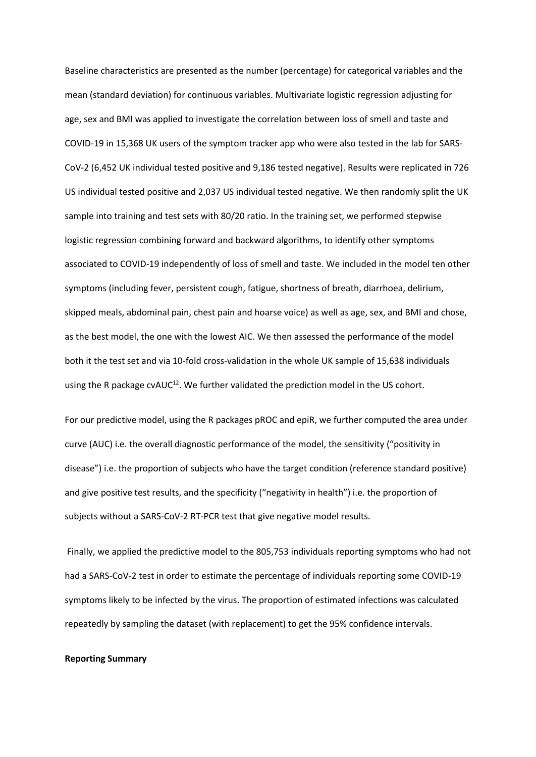Baseline characteristics are presented as the number (percentage) for categorical variables and the mean (standard deviation) for continuous variables. Multivariate logistic regression adjusting for age, sex and BMI was applied to investigate the correlation between loss of smell and taste and COVID-19 in 15,368 UK users of the symptom tracker app who were also tested in the lab for SARS-CoV-2 (6,452 UK individual tested positive and 9,186 tested negative). Results were replicated in 726 US individual tested positive and 2,037 US individual tested negative. We then randomly split the UK sample into training and test sets with 80/20 ratio. In the training set, we performed stepwise logistic regression combining forward and backward algorithms, to identify other symptoms associated to COVID-19 independently of loss of smell and taste. We included in the model ten other symptoms (including fever, persistent cough, fatigue, shortness of breath, diarrhoea, delirium, skipped meals, abdominal pain, chest pain and hoarse voice) as well as age, sex, and BMI and chose, as the best model, the one with the lowest AIC. We then assessed the performance of the model both it the test set and via 10-fold cross-validation in the whole UK sample of 15,638 individuals using the R package  $cvAUC^{12}$ . We further validated the prediction model in the US cohort.

For our predictive model, using the R packages pROC and epiR, we further computed the area under curve (AUC) i.e. the overall diagnostic performance of the model, the sensitivity ("positivity in disease") i.e. the proportion of subjects who have the target condition (reference standard positive) and give positive test results, and the specificity ("negativity in health") i.e. the proportion of subjects without a SARS-CoV-2 RT-PCR test that give negative model results.

Finally, we applied the predictive model to the 805,753 individuals reporting symptoms who had not had a SARS-CoV-2 test in order to estimate the percentage of individuals reporting some COVID-19 symptoms likely to be infected by the virus. The proportion of estimated infections was calculated repeatedly by sampling the dataset (with replacement) to get the 95% confidence intervals.

## **Reporting Summary**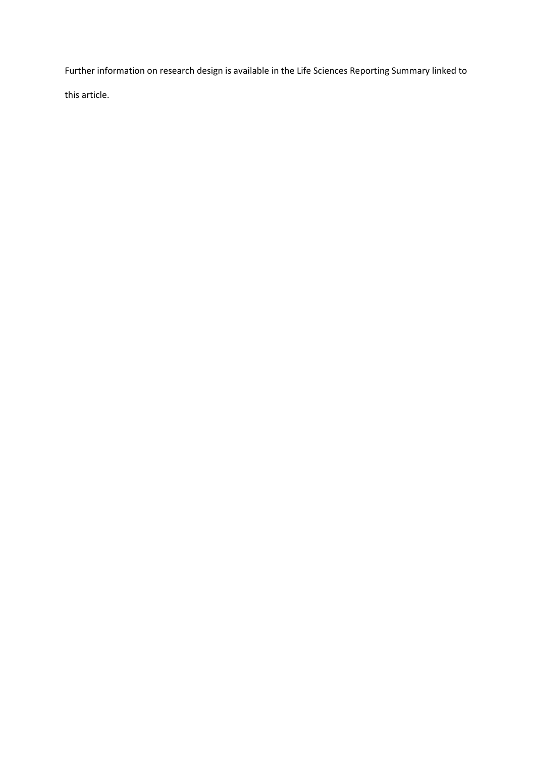Further information on research design is available in the Life Sciences Reporting Summary linked to this article.